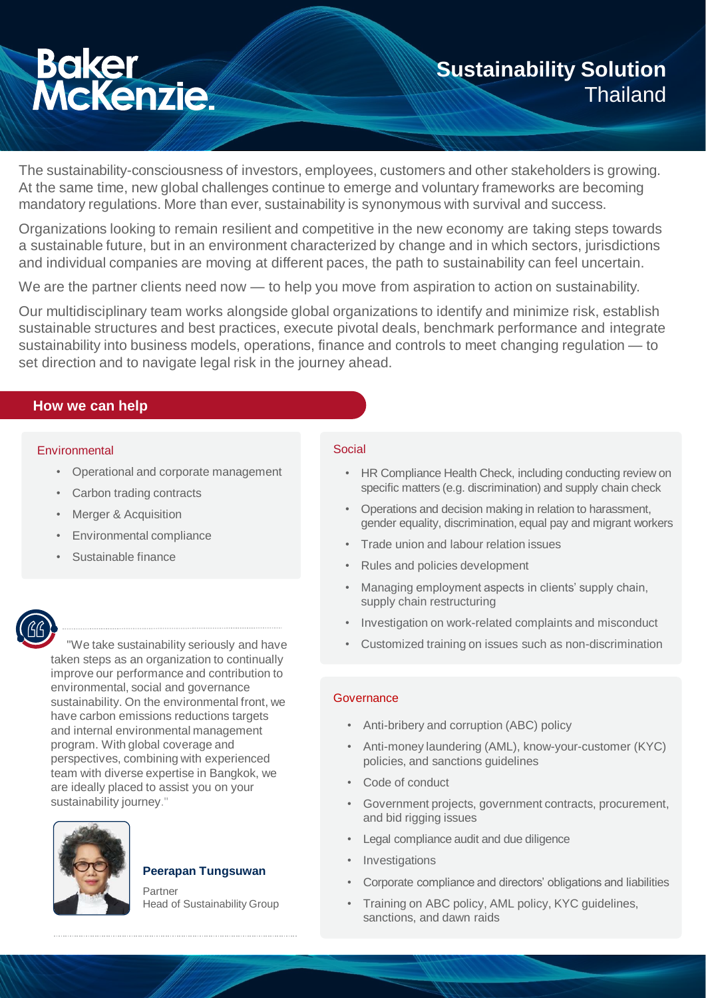# **Baker<br>McKenzie:**

## **Sustainability Solution Thailand**

The sustainability-consciousness of investors, employees, customers and other stakeholders is growing. At the same time, new global challenges continue to emerge and voluntary frameworks are becoming mandatory regulations. More than ever, sustainability is synonymous with survival and success.

Organizations looking to remain resilient and competitive in the new economy are taking steps towards a sustainable future, but in an environment characterized by change and in which sectors, jurisdictions and individual companies are moving at different paces, the path to sustainability can feel uncertain.

We are the partner clients need now — to help you move from aspiration to action on sustainability.

Our multidisciplinary team works alongside global organizations to identify and minimize risk, establish sustainable structures and best practices, execute pivotal deals, benchmark performance and integrate sustainability into business models, operations, finance and controls to meet changing regulation — to set direction and to navigate legal risk in the journey ahead.

### **How we can help**

### Environmental Social Social Social Social Social Social Social Social Social Social Social Social Social Social

- Operational and corporate management
- Carbon trading contracts
- Merger & Acquisition
- Environmental compliance
- Sustainable finance

"We take sustainability seriously and have taken steps as an organization to continually improve our performance and contribution to environmental, social and governance sustainability. On the environmental front, we have carbon emissions reductions targets and internal environmental management program. With global coverage and perspectives, combining with experienced team with diverse expertise in Bangkok, we are ideally placed to assist you on your sustainability journey."



### **Peerapan Tungsuwan**

Partner Head of Sustainability Group

- HR Compliance Health Check, including conducting review on specific matters (e.g. discrimination) and supply chain check
- Operations and decision making in relation to harassment, gender equality, discrimination, equal pay and migrant workers
- Trade union and labour relation issues
- Rules and policies development
- Managing employment aspects in clients' supply chain, supply chain restructuring
- Investigation on work-related complaints and misconduct
- Customized training on issues such as non-discrimination

### **Governance**

- Anti-bribery and corruption (ABC) policy
- Anti-money laundering (AML), know-your-customer (KYC) policies, and sanctions guidelines
- Code of conduct
- Government projects, government contracts, procurement, and bid rigging issues
- Legal compliance audit and due diligence
- **Investigations**
- Corporate compliance and directors' obligations and liabilities
- Training on ABC policy, AML policy, KYC guidelines, sanctions, and dawn raids